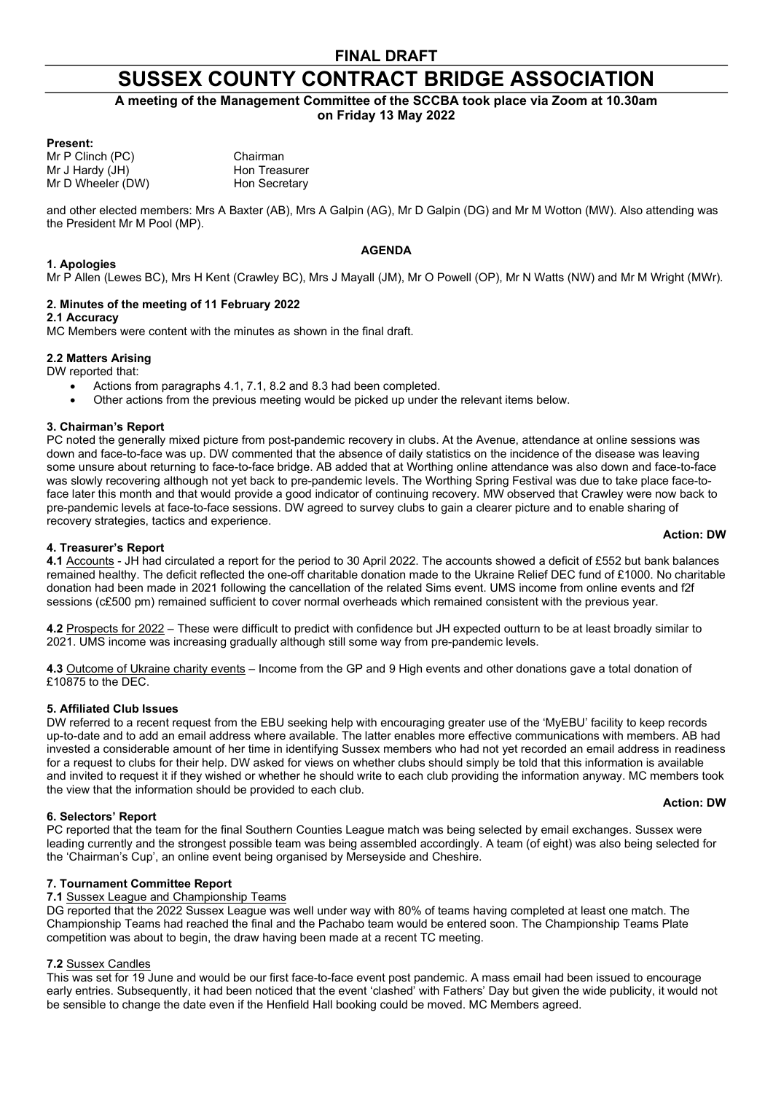# SUSSEX COUNTY CONTRACT BRIDGE ASSOCIATION

A meeting of the Management Committee of the SCCBA took place via Zoom at 10.30am on Friday 13 May 2022

### Present:

Mr P Clinch (PC) Chairman Mr J Hardy (JH) Hon Treasurer Mr D Wheeler (DW) Hon Secretary

and other elected members: Mrs A Baxter (AB), Mrs A Galpin (AG), Mr D Galpin (DG) and Mr M Wotton (MW). Also attending was the President Mr M Pool (MP).

### AGENDA

Mr P Allen (Lewes BC), Mrs H Kent (Crawley BC), Mrs J Mayall (JM), Mr O Powell (OP), Mr N Watts (NW) and Mr M Wright (MWr).

### 2. Minutes of the meeting of 11 February 2022

#### 2.1 Accuracy

1. Apologies

MC Members were content with the minutes as shown in the final draft.

### 2.2 Matters Arising

DW reported that:

- Actions from paragraphs 4.1, 7.1, 8.2 and 8.3 had been completed.
- Other actions from the previous meeting would be picked up under the relevant items below.

### 3. Chairman's Report

PC noted the generally mixed picture from post-pandemic recovery in clubs. At the Avenue, attendance at online sessions was down and face-to-face was up. DW commented that the absence of daily statistics on the incidence of the disease was leaving some unsure about returning to face-to-face bridge. AB added that at Worthing online attendance was also down and face-to-face was slowly recovering although not yet back to pre-pandemic levels. The Worthing Spring Festival was due to take place face-toface later this month and that would provide a good indicator of continuing recovery. MW observed that Crawley were now back to pre-pandemic levels at face-to-face sessions. DW agreed to survey clubs to gain a clearer picture and to enable sharing of recovery strategies, tactics and experience.

#### Action: DW

### 4. Treasurer's Report

4.1 Accounts - JH had circulated a report for the period to 30 April 2022. The accounts showed a deficit of £552 but bank balances remained healthy. The deficit reflected the one-off charitable donation made to the Ukraine Relief DEC fund of £1000. No charitable donation had been made in 2021 following the cancellation of the related Sims event. UMS income from online events and f2f sessions (c£500 pm) remained sufficient to cover normal overheads which remained consistent with the previous year.

4.2 Prospects for 2022 – These were difficult to predict with confidence but JH expected outturn to be at least broadly similar to 2021. UMS income was increasing gradually although still some way from pre-pandemic levels.

4.3 Outcome of Ukraine charity events – Income from the GP and 9 High events and other donations gave a total donation of £10875 to the DEC.

### 5. Affiliated Club Issues

DW referred to a recent request from the EBU seeking help with encouraging greater use of the 'MyEBU' facility to keep records up-to-date and to add an email address where available. The latter enables more effective communications with members. AB had invested a considerable amount of her time in identifying Sussex members who had not yet recorded an email address in readiness for a request to clubs for their help. DW asked for views on whether clubs should simply be told that this information is available and invited to request it if they wished or whether he should write to each club providing the information anyway. MC members took the view that the information should be provided to each club.

#### Action: DW

6. Selectors' Report PC reported that the team for the final Southern Counties League match was being selected by email exchanges. Sussex were leading currently and the strongest possible team was being assembled accordingly. A team (of eight) was also being selected for the 'Chairman's Cup', an online event being organised by Merseyside and Cheshire.

### 7. Tournament Committee Report

### 7.1 Sussex League and Championship Teams

DG reported that the 2022 Sussex League was well under way with 80% of teams having completed at least one match. The Championship Teams had reached the final and the Pachabo team would be entered soon. The Championship Teams Plate competition was about to begin, the draw having been made at a recent TC meeting.

### 7.2 Sussex Candles

This was set for 19 June and would be our first face-to-face event post pandemic. A mass email had been issued to encourage early entries. Subsequently, it had been noticed that the event 'clashed' with Fathers' Day but given the wide publicity, it would not be sensible to change the date even if the Henfield Hall booking could be moved. MC Members agreed.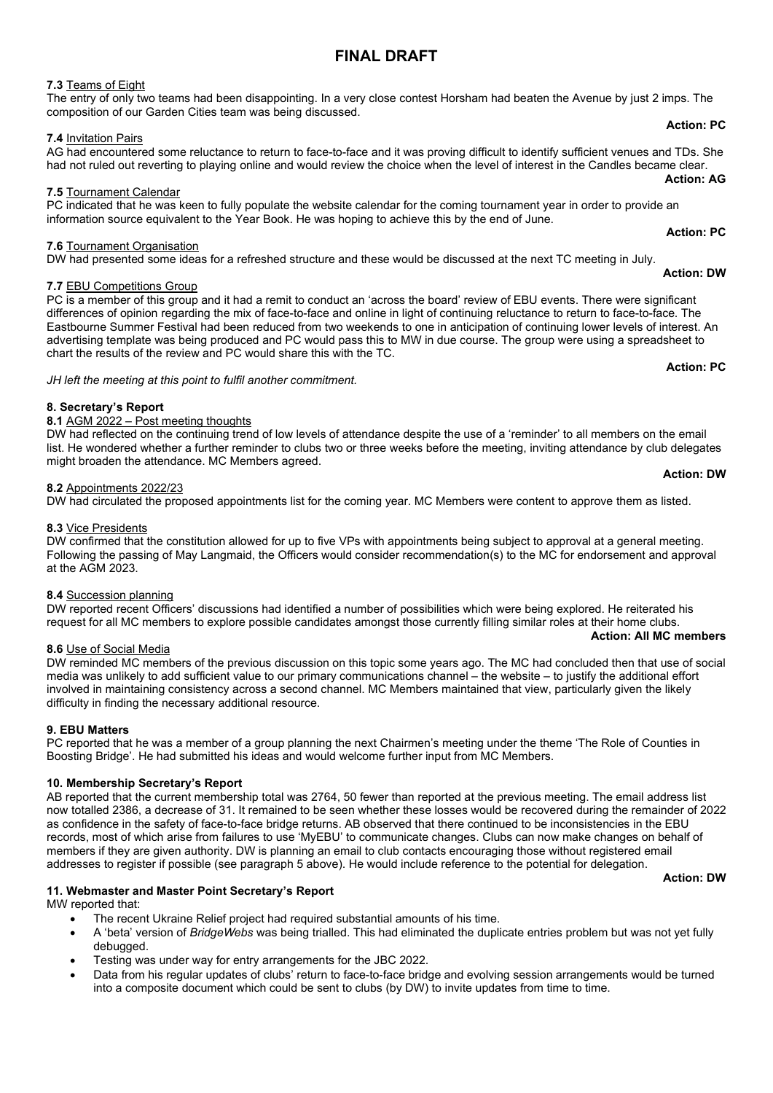# FINAL DRAFT

# 7.3 Teams of Eight

### The entry of only two teams had been disappointing. In a very close contest Horsham had beaten the Avenue by just 2 imps. The composition of our Garden Cities team was being discussed.

# 7.4 Invitation Pairs

#### AG had encountered some reluctance to return to face-to-face and it was proving difficult to identify sufficient venues and TDs. She had not ruled out reverting to playing online and would review the choice when the level of interest in the Candles became clear. Action: AG

## 7.5 Tournament Calendar

PC indicated that he was keen to fully populate the website calendar for the coming tournament year in order to provide an information source equivalent to the Year Book. He was hoping to achieve this by the end of June. Action: PC

### 7.6 Tournament Organisation

DW had presented some ideas for a refreshed structure and these would be discussed at the next TC meeting in July.

# 7.7 EBU Competitions Group

PC is a member of this group and it had a remit to conduct an 'across the board' review of EBU events. There were significant differences of opinion regarding the mix of face-to-face and online in light of continuing reluctance to return to face-to-face. The Eastbourne Summer Festival had been reduced from two weekends to one in anticipation of continuing lower levels of interest. An advertising template was being produced and PC would pass this to MW in due course. The group were using a spreadsheet to chart the results of the review and PC would share this with the TC.

### JH left the meeting at this point to fulfil another commitment.

# 8. Secretary's Report

# 8.1 AGM  $2022 -$  Post meeting thoughts

DW had reflected on the continuing trend of low levels of attendance despite the use of a 'reminder' to all members on the email list. He wondered whether a further reminder to clubs two or three weeks before the meeting, inviting attendance by club delegates might broaden the attendance. MC Members agreed.

### 8.2 Appointments 2022/23

DW had circulated the proposed appointments list for the coming year. MC Members were content to approve them as listed.

### 8.3 Vice Presidents

DW confirmed that the constitution allowed for up to five VPs with appointments being subject to approval at a general meeting. Following the passing of May Langmaid, the Officers would consider recommendation(s) to the MC for endorsement and approval at the AGM 2023.

### 8.4 Succession planning

DW reported recent Officers' discussions had identified a number of possibilities which were being explored. He reiterated his request for all MC members to explore possible candidates amongst those currently filling similar roles at their home clubs. Action: All MC members

### 8.6 Use of Social Media

DW reminded MC members of the previous discussion on this topic some years ago. The MC had concluded then that use of social media was unlikely to add sufficient value to our primary communications channel – the website – to justify the additional effort involved in maintaining consistency across a second channel. MC Members maintained that view, particularly given the likely difficulty in finding the necessary additional resource.

# 9. EBU Matters

PC reported that he was a member of a group planning the next Chairmen's meeting under the theme 'The Role of Counties in Boosting Bridge'. He had submitted his ideas and would welcome further input from MC Members.

### 10. Membership Secretary's Report

AB reported that the current membership total was 2764, 50 fewer than reported at the previous meeting. The email address list now totalled 2386, a decrease of 31. It remained to be seen whether these losses would be recovered during the remainder of 2022 as confidence in the safety of face-to-face bridge returns. AB observed that there continued to be inconsistencies in the EBU records, most of which arise from failures to use 'MyEBU' to communicate changes. Clubs can now make changes on behalf of members if they are given authority. DW is planning an email to club contacts encouraging those without registered email addresses to register if possible (see paragraph 5 above). He would include reference to the potential for delegation.

Action: DW

# 11. Webmaster and Master Point Secretary's Report

MW reported that:

- The recent Ukraine Relief project had required substantial amounts of his time.
- A 'beta' version of BridgeWebs was being trialled. This had eliminated the duplicate entries problem but was not yet fully debugged.
- Testing was under way for entry arrangements for the JBC 2022.
- Data from his regular updates of clubs' return to face-to-face bridge and evolving session arrangements would be turned into a composite document which could be sent to clubs (by DW) to invite updates from time to time.

### Action: PC

Action: PC

Action: DW

### Action: DW